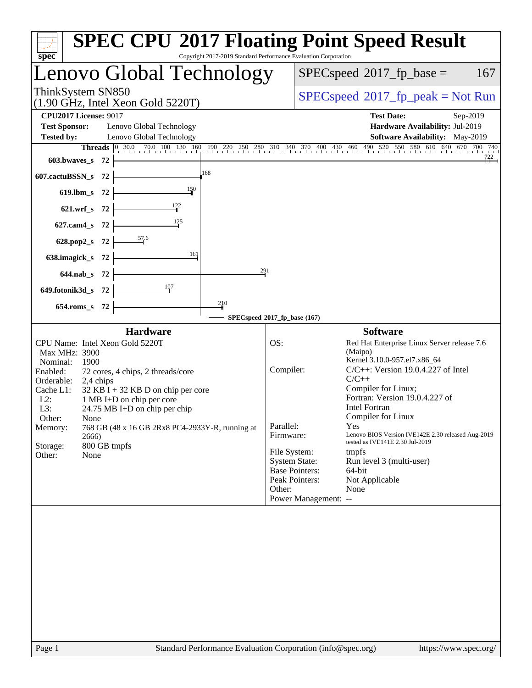| spec <sup>®</sup>                                                                                                                                                                                                                                                                                                                                                                                                                                     | <b>SPEC CPU®2017 Floating Point Speed Result</b><br>Copyright 2017-2019 Standard Performance Evaluation Corporation                                                                                                                                                                                                                                                                                                                                                                                                                                                                                                                              |
|-------------------------------------------------------------------------------------------------------------------------------------------------------------------------------------------------------------------------------------------------------------------------------------------------------------------------------------------------------------------------------------------------------------------------------------------------------|--------------------------------------------------------------------------------------------------------------------------------------------------------------------------------------------------------------------------------------------------------------------------------------------------------------------------------------------------------------------------------------------------------------------------------------------------------------------------------------------------------------------------------------------------------------------------------------------------------------------------------------------------|
| Lenovo Global Technology                                                                                                                                                                                                                                                                                                                                                                                                                              | $SPEC speed^{\circ}2017\_fp\_base =$<br>167                                                                                                                                                                                                                                                                                                                                                                                                                                                                                                                                                                                                      |
| ThinkSystem SN850<br>$(1.90 \text{ GHz}, \text{Intel Xeon Gold } 5220 \text{T})$                                                                                                                                                                                                                                                                                                                                                                      | $SPEC speed^{\circ}2017\_fp\_peak = Not Run$                                                                                                                                                                                                                                                                                                                                                                                                                                                                                                                                                                                                     |
| <b>CPU2017 License: 9017</b><br><b>Test Sponsor:</b><br>Lenovo Global Technology<br>Lenovo Global Technology<br><b>Tested by:</b><br>603.bwaves s 72<br>168<br>607.cactuBSSN_s 72<br>150<br>$619$ .lbm_s<br>- 72<br>$\frac{122}{ }$<br>$621.wrf$ <sub>S</sub><br>-72<br><u>125</u><br>$627$ .cam $4$ s<br>72<br>$\frac{57.6}{5}$<br>$628.pop2_s$<br>-72<br>16]<br>638.imagick_s<br>- 72<br>291<br>644.nab_s 72<br>107<br>649.fotonik3d_s<br>- 72      | <b>Test Date:</b><br>Sep-2019<br>Hardware Availability: Jul-2019<br>Software Availability: May-2019<br>Threads 0 30.0 70.0 100 130 160 190 220 250 280 310 340 370 400 430 460 490 520 550 580 610 640 670 700 740<br>722                                                                                                                                                                                                                                                                                                                                                                                                                        |
| 210<br>$654$ .roms_s<br>- 72                                                                                                                                                                                                                                                                                                                                                                                                                          |                                                                                                                                                                                                                                                                                                                                                                                                                                                                                                                                                                                                                                                  |
| <b>Hardware</b><br>CPU Name: Intel Xeon Gold 5220T<br>Max MHz: 3900<br>Nominal:<br>1900<br>Enabled:<br>72 cores, 4 chips, 2 threads/core<br>Orderable:<br>2,4 chips<br>Cache L1:<br>$32$ KB I + 32 KB D on chip per core<br>$L2$ :<br>1 MB I+D on chip per core<br>L3:<br>24.75 MB I+D on chip per chip<br>Other:<br><b>None</b><br>768 GB (48 x 16 GB 2Rx8 PC4-2933Y-R, running at<br>Memory:<br>2666)<br>Storage:<br>800 GB tmpfs<br>Other:<br>None | SPECspeed*2017_fp_base (167)<br><b>Software</b><br>OS:<br>Red Hat Enterprise Linux Server release 7.6<br>(Maipo)<br>Kernel 3.10.0-957.el7.x86_64<br>$C/C++$ : Version 19.0.4.227 of Intel<br>Compiler:<br>$C/C++$<br>Compiler for Linux;<br>Fortran: Version 19.0.4.227 of<br><b>Intel Fortran</b><br>Compiler for Linux<br>Parallel:<br>Yes<br>Firmware:<br>Lenovo BIOS Version IVE142E 2.30 released Aug-2019<br>tested as IVE141E 2.30 Jul-2019<br>File System:<br>tmpfs<br><b>System State:</b><br>Run level 3 (multi-user)<br><b>Base Pointers:</b><br>64-bit<br>Peak Pointers:<br>Not Applicable<br>Other:<br>None<br>Power Management: -- |
|                                                                                                                                                                                                                                                                                                                                                                                                                                                       |                                                                                                                                                                                                                                                                                                                                                                                                                                                                                                                                                                                                                                                  |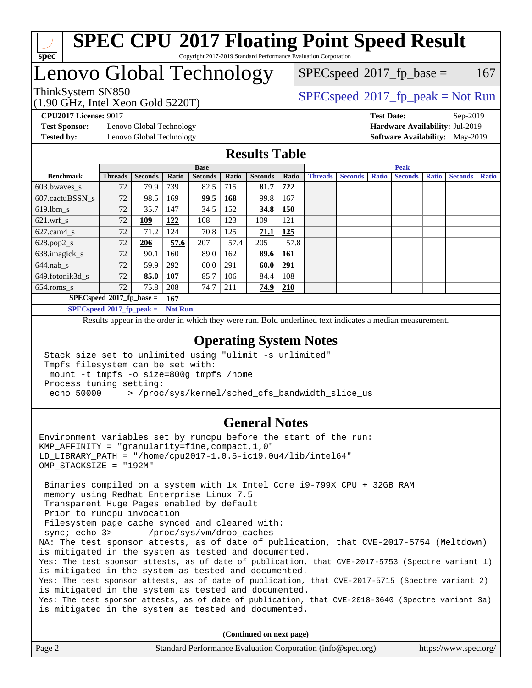

## Lenovo Global Technology

 $SPEC speed^{\circ}2017$  fp base = 167

(1.90 GHz, Intel Xeon Gold 5220T)

ThinkSystem SN850<br>  $\begin{array}{c}\n\text{SPEC speed} \text{?}2017\_fp\_peak = Not Run\n\end{array}$ 

**[Test Sponsor:](http://www.spec.org/auto/cpu2017/Docs/result-fields.html#TestSponsor)** Lenovo Global Technology **[Hardware Availability:](http://www.spec.org/auto/cpu2017/Docs/result-fields.html#HardwareAvailability)** Jul-2019 **[Tested by:](http://www.spec.org/auto/cpu2017/Docs/result-fields.html#Testedby)** Lenovo Global Technology **[Software Availability:](http://www.spec.org/auto/cpu2017/Docs/result-fields.html#SoftwareAvailability)** May-2019

**[CPU2017 License:](http://www.spec.org/auto/cpu2017/Docs/result-fields.html#CPU2017License)** 9017 **[Test Date:](http://www.spec.org/auto/cpu2017/Docs/result-fields.html#TestDate)** Sep-2019

### **[Results Table](http://www.spec.org/auto/cpu2017/Docs/result-fields.html#ResultsTable)**

|                                    | <b>Base</b>                                   |                |            |                |              | <b>Peak</b>    |            |                |                |              |                |              |                |              |
|------------------------------------|-----------------------------------------------|----------------|------------|----------------|--------------|----------------|------------|----------------|----------------|--------------|----------------|--------------|----------------|--------------|
| <b>Benchmark</b>                   | <b>Threads</b>                                | <b>Seconds</b> | Ratio      | <b>Seconds</b> | <b>Ratio</b> | <b>Seconds</b> | Ratio      | <b>Threads</b> | <b>Seconds</b> | <b>Ratio</b> | <b>Seconds</b> | <b>Ratio</b> | <b>Seconds</b> | <b>Ratio</b> |
| 603.bwayes s                       | 72                                            | 79.9           | 739        | 82.5           | 715          | 81.7           | 722        |                |                |              |                |              |                |              |
| 607.cactuBSSN s                    | 72                                            | 98.5           | 169        | 99.5           | 168          | 99.8           | 167        |                |                |              |                |              |                |              |
| $619.1$ bm s                       | 72                                            | 35.7           | 147        | 34.5           | 152          | 34.8           | <b>150</b> |                |                |              |                |              |                |              |
| $621$ .wrf s                       | 72                                            | 109            | 122        | 108            | 123          | 109            | 121        |                |                |              |                |              |                |              |
| $627$ .cam $4 \text{ s}$           | 72                                            | 71.2           | 124        | 70.8           | 125          | 71.1           | <u>125</u> |                |                |              |                |              |                |              |
| $628.pop2_s$                       | 72                                            | 206            | 57.6       | 207            | 57.4         | 205            | 57.8       |                |                |              |                |              |                |              |
| 638.imagick_s                      | 72                                            | 90.1           | 160        | 89.0           | 162          | 89.6           | 161        |                |                |              |                |              |                |              |
| $644$ .nab s                       | 72                                            | 59.9           | 292        | 60.0           | 291          | 60.0           | <u>291</u> |                |                |              |                |              |                |              |
| 649.fotonik3d s                    | 72                                            | 85.0           | <b>107</b> | 85.7           | 106          | 84.4           | 108        |                |                |              |                |              |                |              |
| $654$ .roms s                      | 72                                            | 75.8           | 208        | 74.7           | 211          | 74.9           | <b>210</b> |                |                |              |                |              |                |              |
| $SPECspeed*2017_fp\_base =$<br>167 |                                               |                |            |                |              |                |            |                |                |              |                |              |                |              |
|                                    | $SPECspeed*2017_fp\_peak =$<br><b>Not Run</b> |                |            |                |              |                |            |                |                |              |                |              |                |              |

Results appear in the [order in which they were run.](http://www.spec.org/auto/cpu2017/Docs/result-fields.html#RunOrder) Bold underlined text [indicates a median measurement](http://www.spec.org/auto/cpu2017/Docs/result-fields.html#Median).

### **[Operating System Notes](http://www.spec.org/auto/cpu2017/Docs/result-fields.html#OperatingSystemNotes)**

 Stack size set to unlimited using "ulimit -s unlimited" Tmpfs filesystem can be set with: mount -t tmpfs -o size=800g tmpfs /home Process tuning setting: echo 50000 > /proc/sys/kernel/sched\_cfs\_bandwidth\_slice\_us

### **[General Notes](http://www.spec.org/auto/cpu2017/Docs/result-fields.html#GeneralNotes)**

Environment variables set by runcpu before the start of the run: KMP AFFINITY = "granularity=fine, compact,  $1,0$ " LD\_LIBRARY\_PATH = "/home/cpu2017-1.0.5-ic19.0u4/lib/intel64" OMP\_STACKSIZE = "192M"

 Binaries compiled on a system with 1x Intel Core i9-799X CPU + 32GB RAM memory using Redhat Enterprise Linux 7.5 Transparent Huge Pages enabled by default Prior to runcpu invocation Filesystem page cache synced and cleared with: sync; echo 3> /proc/sys/vm/drop\_caches NA: The test sponsor attests, as of date of publication, that CVE-2017-5754 (Meltdown) is mitigated in the system as tested and documented. Yes: The test sponsor attests, as of date of publication, that CVE-2017-5753 (Spectre variant 1) is mitigated in the system as tested and documented. Yes: The test sponsor attests, as of date of publication, that CVE-2017-5715 (Spectre variant 2) is mitigated in the system as tested and documented. Yes: The test sponsor attests, as of date of publication, that CVE-2018-3640 (Spectre variant 3a) is mitigated in the system as tested and documented.

**(Continued on next page)**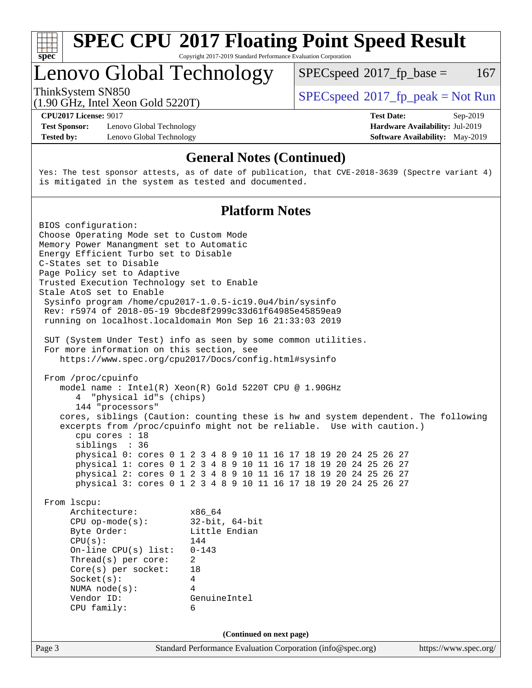

# **[SPEC CPU](http://www.spec.org/auto/cpu2017/Docs/result-fields.html#SPECCPU2017FloatingPointSpeedResult)[2017 Floating Point Speed Result](http://www.spec.org/auto/cpu2017/Docs/result-fields.html#SPECCPU2017FloatingPointSpeedResult)**

Copyright 2017-2019 Standard Performance Evaluation Corporation

### Lenovo Global Technology

 $SPECspeed^{\circ}2017\_fp\_base = 167$  $SPECspeed^{\circ}2017\_fp\_base = 167$ 

(1.90 GHz, Intel Xeon Gold 5220T)

ThinkSystem SN850<br>  $(1.00 \text{ GHz. Intel Yes} \cdot \text{Cold } 5220 \text{T})$   $\text{SPEC speed} \cdot 2017 \cdot \text{fp\_peak} = \text{Not Run}$ 

**[Test Sponsor:](http://www.spec.org/auto/cpu2017/Docs/result-fields.html#TestSponsor)** Lenovo Global Technology **[Hardware Availability:](http://www.spec.org/auto/cpu2017/Docs/result-fields.html#HardwareAvailability)** Jul-2019 **[Tested by:](http://www.spec.org/auto/cpu2017/Docs/result-fields.html#Testedby)** Lenovo Global Technology **[Software Availability:](http://www.spec.org/auto/cpu2017/Docs/result-fields.html#SoftwareAvailability)** May-2019

**[CPU2017 License:](http://www.spec.org/auto/cpu2017/Docs/result-fields.html#CPU2017License)** 9017 **[Test Date:](http://www.spec.org/auto/cpu2017/Docs/result-fields.html#TestDate)** Sep-2019

### **[General Notes \(Continued\)](http://www.spec.org/auto/cpu2017/Docs/result-fields.html#GeneralNotes)**

Yes: The test sponsor attests, as of date of publication, that CVE-2018-3639 (Spectre variant 4) is mitigated in the system as tested and documented.

### **[Platform Notes](http://www.spec.org/auto/cpu2017/Docs/result-fields.html#PlatformNotes)**

Page 3 Standard Performance Evaluation Corporation [\(info@spec.org\)](mailto:info@spec.org) <https://www.spec.org/> BIOS configuration: Choose Operating Mode set to Custom Mode Memory Power Manangment set to Automatic Energy Efficient Turbo set to Disable C-States set to Disable Page Policy set to Adaptive Trusted Execution Technology set to Enable Stale AtoS set to Enable Sysinfo program /home/cpu2017-1.0.5-ic19.0u4/bin/sysinfo Rev: r5974 of 2018-05-19 9bcde8f2999c33d61f64985e45859ea9 running on localhost.localdomain Mon Sep 16 21:33:03 2019 SUT (System Under Test) info as seen by some common utilities. For more information on this section, see <https://www.spec.org/cpu2017/Docs/config.html#sysinfo> From /proc/cpuinfo model name : Intel(R) Xeon(R) Gold 5220T CPU @ 1.90GHz 4 "physical id"s (chips) 144 "processors" cores, siblings (Caution: counting these is hw and system dependent. The following excerpts from /proc/cpuinfo might not be reliable. Use with caution.) cpu cores : 18 siblings : 36 physical 0: cores 0 1 2 3 4 8 9 10 11 16 17 18 19 20 24 25 26 27 physical 1: cores 0 1 2 3 4 8 9 10 11 16 17 18 19 20 24 25 26 27 physical 2: cores 0 1 2 3 4 8 9 10 11 16 17 18 19 20 24 25 26 27 physical 3: cores 0 1 2 3 4 8 9 10 11 16 17 18 19 20 24 25 26 27 From lscpu: Architecture: x86\_64 CPU op-mode(s): 32-bit, 64-bit Byte Order: Little Endian  $CPU(s): 144$  On-line CPU(s) list: 0-143 Thread(s) per core: 2 Core(s) per socket: 18 Socket(s): 4 NUMA node(s): 4 Vendor ID: GenuineIntel CPU family: 6 **(Continued on next page)**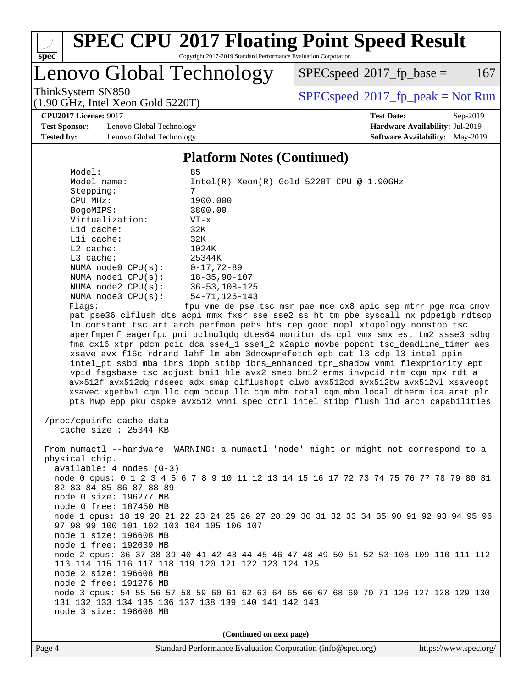

# **[SPEC CPU](http://www.spec.org/auto/cpu2017/Docs/result-fields.html#SPECCPU2017FloatingPointSpeedResult)[2017 Floating Point Speed Result](http://www.spec.org/auto/cpu2017/Docs/result-fields.html#SPECCPU2017FloatingPointSpeedResult)**

Copyright 2017-2019 Standard Performance Evaluation Corporation

Lenovo Global Technology

 $SPECspeed^{\circ}2017\_fp\_base = 167$  $SPECspeed^{\circ}2017\_fp\_base = 167$ 

ThinkSystem SN850<br>(1.00 GHz, Intel Year Gold 5220T) [SPECspeed](http://www.spec.org/auto/cpu2017/Docs/result-fields.html#SPECspeed2017fppeak)®[2017\\_fp\\_peak = N](http://www.spec.org/auto/cpu2017/Docs/result-fields.html#SPECspeed2017fppeak)ot Run

**[CPU2017 License:](http://www.spec.org/auto/cpu2017/Docs/result-fields.html#CPU2017License)** 9017 **[Test Date:](http://www.spec.org/auto/cpu2017/Docs/result-fields.html#TestDate)** Sep-2019

**[Test Sponsor:](http://www.spec.org/auto/cpu2017/Docs/result-fields.html#TestSponsor)** Lenovo Global Technology **[Hardware Availability:](http://www.spec.org/auto/cpu2017/Docs/result-fields.html#HardwareAvailability)** Jul-2019 **[Tested by:](http://www.spec.org/auto/cpu2017/Docs/result-fields.html#Testedby)** Lenovo Global Technology **[Software Availability:](http://www.spec.org/auto/cpu2017/Docs/result-fields.html#SoftwareAvailability)** May-2019

(1.90 GHz, Intel Xeon Gold 5220T)

#### **[Platform Notes \(Continued\)](http://www.spec.org/auto/cpu2017/Docs/result-fields.html#PlatformNotes)**

| Model:                 | 85                                                                                   |
|------------------------|--------------------------------------------------------------------------------------|
| Model name:            | $Intel(R) Xeon(R) Gold 5220T CPU @ 1.90GHz$                                          |
| Stepping:              | 7                                                                                    |
| CPU MHz:               | 1900.000                                                                             |
| BogoMIPS:              | 3800.00                                                                              |
| Virtualization:        | $VT - x$                                                                             |
| L1d cache:             | 32K                                                                                  |
| Lli cache:             | 32K                                                                                  |
| $L2$ cache:            | 1024K                                                                                |
| $L3$ cache:            | 25344K                                                                               |
| NUMA $node0$ $CPU(s):$ | 0-17,72-89                                                                           |
| NUMA nodel CPU(s):     | 18-35,90-107                                                                         |
| NUMA $node2$ $CPU(s):$ | 36-53,108-125                                                                        |
| NUMA $node3$ $CPU(s):$ | 54-71,126-143                                                                        |
| Flaqs:                 | fpu vme de pse tsc msr pae mce cx8 apic sep mtrr pqe mca cmov                        |
|                        | pat pse36 clflush dts acpi mmx fxsr sse sse2 ss ht tm pbe syscall nx pdpe1gb rdtscp  |
|                        | lm constant_tsc art arch_perfmon pebs bts rep_good nopl xtopology nonstop_tsc        |
|                        | aperfmperf eagerfpu pni pclmulgdg dtes64 monitor ds cpl vmx smx est tm2 ssse3 sdbg   |
|                        | fma cx16 xtpr pdcm pcid dca sse4 1 sse4 2 x2apic movbe popcnt tsc deadline timer aes |
|                        | xsave avx f16c rdrand lahf_lm abm 3dnowprefetch epb cat_13 cdp_13 intel_ppin         |
|                        | intel pt ssbd mba ibrs ibpb stibp ibrs enhanced tpr shadow vnmi flexpriority ept     |
|                        | vpid fsgsbase tsc adjust bmil hle avx2 smep bmi2 erms invpcid rtm cgm mpx rdt a      |
|                        | avx512f avx512dg rdseed adx smap clflushopt clwb avx512cd avx512bw avx512vl xsaveopt |
|                        | xsavec xgetbvl cgm llc cgm occup llc cgm mbm total cgm mbm local dtherm ida arat pln |
|                        | pts hwp epp pku ospke avx512 vnni spec ctrl intel stibp flush 11d arch capabilities  |

 /proc/cpuinfo cache data cache size : 25344 KB

 From numactl --hardware WARNING: a numactl 'node' might or might not correspond to a physical chip. available: 4 nodes (0-3) node 0 cpus: 0 1 2 3 4 5 6 7 8 9 10 11 12 13 14 15 16 17 72 73 74 75 76 77 78 79 80 81 82 83 84 85 86 87 88 89 node 0 size: 196277 MB node 0 free: 187450 MB node 1 cpus: 18 19 20 21 22 23 24 25 26 27 28 29 30 31 32 33 34 35 90 91 92 93 94 95 96 97 98 99 100 101 102 103 104 105 106 107 node 1 size: 196608 MB node 1 free: 192039 MB node 2 cpus: 36 37 38 39 40 41 42 43 44 45 46 47 48 49 50 51 52 53 108 109 110 111 112 113 114 115 116 117 118 119 120 121 122 123 124 125 node 2 size: 196608 MB node 2 free: 191276 MB node 3 cpus: 54 55 56 57 58 59 60 61 62 63 64 65 66 67 68 69 70 71 126 127 128 129 130 131 132 133 134 135 136 137 138 139 140 141 142 143 node 3 size: 196608 MB

**(Continued on next page)**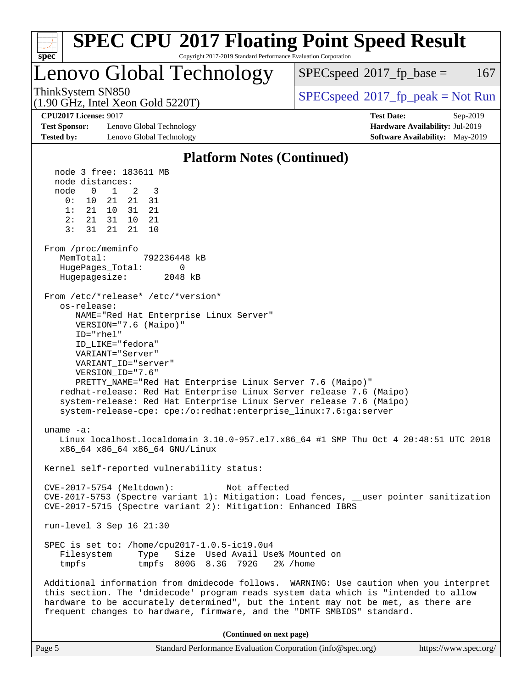| <b>SPEC CPU®2017 Floating Point Speed Result</b>                                                                                                                                                                  |                                                                                                                                                                                                                                                                                                                                                                                                                                                                                                                                                                                                              |                                                                                                            |  |  |  |  |
|-------------------------------------------------------------------------------------------------------------------------------------------------------------------------------------------------------------------|--------------------------------------------------------------------------------------------------------------------------------------------------------------------------------------------------------------------------------------------------------------------------------------------------------------------------------------------------------------------------------------------------------------------------------------------------------------------------------------------------------------------------------------------------------------------------------------------------------------|------------------------------------------------------------------------------------------------------------|--|--|--|--|
| Copyright 2017-2019 Standard Performance Evaluation Corporation<br>spec <sup>®</sup>                                                                                                                              |                                                                                                                                                                                                                                                                                                                                                                                                                                                                                                                                                                                                              |                                                                                                            |  |  |  |  |
|                                                                                                                                                                                                                   | Lenovo Global Technology                                                                                                                                                                                                                                                                                                                                                                                                                                                                                                                                                                                     | 167<br>$SPEC speed^{\circ}2017\_fp\_base =$                                                                |  |  |  |  |
| ThinkSystem SN850                                                                                                                                                                                                 | $(1.90 \text{ GHz}, \text{Intel Xeon Gold } 5220 \text{T})$                                                                                                                                                                                                                                                                                                                                                                                                                                                                                                                                                  | $SPEC speed^{\circ}2017\_fp\_peak = Not Run$                                                               |  |  |  |  |
| <b>CPU2017 License: 9017</b><br><b>Test Sponsor:</b><br><b>Tested by:</b>                                                                                                                                         | Lenovo Global Technology<br>Lenovo Global Technology                                                                                                                                                                                                                                                                                                                                                                                                                                                                                                                                                         | <b>Test Date:</b><br>Sep-2019<br>Hardware Availability: Jul-2019<br><b>Software Availability:</b> May-2019 |  |  |  |  |
|                                                                                                                                                                                                                   | <b>Platform Notes (Continued)</b>                                                                                                                                                                                                                                                                                                                                                                                                                                                                                                                                                                            |                                                                                                            |  |  |  |  |
| node distances:<br>node<br>$\mathbf{0}$<br>0 :<br>10<br>1:<br>21 10<br>2:<br>21 31<br>3:<br>31<br>From /proc/meminfo<br>MemTotal:<br>HugePages_Total:<br>Hugepagesize:<br>os-release:<br>ID="rhel"<br>$uname -a:$ | node 3 free: 183611 MB<br>2<br>1<br>3<br>21<br>21<br>31<br>31<br>21<br>10<br>21<br>21<br>21<br>10<br>792236448 kB<br>0<br>2048 kB<br>From /etc/*release* /etc/*version*<br>NAME="Red Hat Enterprise Linux Server"<br>VERSION="7.6 (Maipo)"<br>ID_LIKE="fedora"<br>VARIANT="Server"<br>VARIANT_ID="server"<br>VERSION_ID="7.6"<br>PRETTY_NAME="Red Hat Enterprise Linux Server 7.6 (Maipo)"<br>redhat-release: Red Hat Enterprise Linux Server release 7.6 (Maipo)<br>system-release: Red Hat Enterprise Linux Server release 7.6 (Maipo)<br>system-release-cpe: cpe:/o:redhat:enterprise_linux:7.6:ga:server |                                                                                                            |  |  |  |  |
|                                                                                                                                                                                                                   | x86_64 x86_64 x86_64 GNU/Linux                                                                                                                                                                                                                                                                                                                                                                                                                                                                                                                                                                               | Linux localhost.localdomain 3.10.0-957.el7.x86_64 #1 SMP Thu Oct 4 20:48:51 UTC 2018                       |  |  |  |  |
|                                                                                                                                                                                                                   | Kernel self-reported vulnerability status:                                                                                                                                                                                                                                                                                                                                                                                                                                                                                                                                                                   |                                                                                                            |  |  |  |  |
| CVE-2017-5754 (Meltdown):<br>Not affected<br>CVE-2017-5753 (Spectre variant 1): Mitigation: Load fences, __user pointer sanitization<br>CVE-2017-5715 (Spectre variant 2): Mitigation: Enhanced IBRS              |                                                                                                                                                                                                                                                                                                                                                                                                                                                                                                                                                                                                              |                                                                                                            |  |  |  |  |
| run-level 3 Sep 16 21:30                                                                                                                                                                                          |                                                                                                                                                                                                                                                                                                                                                                                                                                                                                                                                                                                                              |                                                                                                            |  |  |  |  |
| Filesystem<br>tmpfs                                                                                                                                                                                               | SPEC is set to: /home/cpu2017-1.0.5-ic19.0u4<br>Type<br>Size Used Avail Use% Mounted on<br>tmpfs 800G 8.3G 792G 2% / home                                                                                                                                                                                                                                                                                                                                                                                                                                                                                    |                                                                                                            |  |  |  |  |
|                                                                                                                                                                                                                   | this section. The 'dmidecode' program reads system data which is "intended to allow<br>hardware to be accurately determined", but the intent may not be met, as there are<br>frequent changes to hardware, firmware, and the "DMTF SMBIOS" standard.                                                                                                                                                                                                                                                                                                                                                         | Additional information from dmidecode follows. WARNING: Use caution when you interpret                     |  |  |  |  |
|                                                                                                                                                                                                                   | (Continued on next page)                                                                                                                                                                                                                                                                                                                                                                                                                                                                                                                                                                                     |                                                                                                            |  |  |  |  |

| $\vert$ Page 5 | Standard Performance Evaluation Corporation (info@spec.org) | https://www.spec.org/ |
|----------------|-------------------------------------------------------------|-----------------------|
|----------------|-------------------------------------------------------------|-----------------------|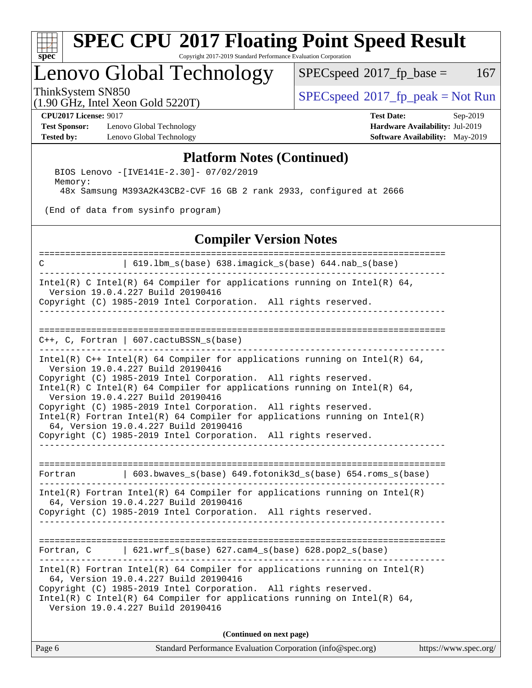

### Lenovo Global Technology

 $SPECspeed^{\circ}2017_fp\_base = 167$  $SPECspeed^{\circ}2017_fp\_base = 167$ 

ThinkSystem SN850<br>(1.00 GHz, Intel Year Gold 5220T) [SPECspeed](http://www.spec.org/auto/cpu2017/Docs/result-fields.html#SPECspeed2017fppeak)®[2017\\_fp\\_peak = N](http://www.spec.org/auto/cpu2017/Docs/result-fields.html#SPECspeed2017fppeak)ot Run

(1.90 GHz, Intel Xeon Gold 5220T)

**[Test Sponsor:](http://www.spec.org/auto/cpu2017/Docs/result-fields.html#TestSponsor)** Lenovo Global Technology **[Hardware Availability:](http://www.spec.org/auto/cpu2017/Docs/result-fields.html#HardwareAvailability)** Jul-2019 **[Tested by:](http://www.spec.org/auto/cpu2017/Docs/result-fields.html#Testedby)** Lenovo Global Technology **[Software Availability:](http://www.spec.org/auto/cpu2017/Docs/result-fields.html#SoftwareAvailability)** May-2019

**[CPU2017 License:](http://www.spec.org/auto/cpu2017/Docs/result-fields.html#CPU2017License)** 9017 **[Test Date:](http://www.spec.org/auto/cpu2017/Docs/result-fields.html#TestDate)** Sep-2019

### **[Platform Notes \(Continued\)](http://www.spec.org/auto/cpu2017/Docs/result-fields.html#PlatformNotes)**

 BIOS Lenovo -[IVE141E-2.30]- 07/02/2019 Memory: 48x Samsung M393A2K43CB2-CVF 16 GB 2 rank 2933, configured at 2666

(End of data from sysinfo program)

### **[Compiler Version Notes](http://www.spec.org/auto/cpu2017/Docs/result-fields.html#CompilerVersionNotes)**

| C                      | 619.1bm_s(base) 638.imagick_s(base) 644.nab_s(base)                                                                                                                                                                                                                                                                                                                                                                                                                                                                                                                  |                       |
|------------------------|----------------------------------------------------------------------------------------------------------------------------------------------------------------------------------------------------------------------------------------------------------------------------------------------------------------------------------------------------------------------------------------------------------------------------------------------------------------------------------------------------------------------------------------------------------------------|-----------------------|
|                        | Intel(R) C Intel(R) 64 Compiler for applications running on Intel(R) 64,<br>Version 19.0.4.227 Build 20190416<br>Copyright (C) 1985-2019 Intel Corporation. All rights reserved.<br>--------------------------------                                                                                                                                                                                                                                                                                                                                                 |                       |
| ---------------------- | $C++$ , C, Fortran   607.cactuBSSN_s(base)                                                                                                                                                                                                                                                                                                                                                                                                                                                                                                                           |                       |
|                        | Intel(R) $C++$ Intel(R) 64 Compiler for applications running on Intel(R) 64,<br>Version 19.0.4.227 Build 20190416<br>Copyright (C) 1985-2019 Intel Corporation. All rights reserved.<br>Intel(R) C Intel(R) 64 Compiler for applications running on Intel(R) 64,<br>Version 19.0.4.227 Build 20190416<br>Copyright (C) 1985-2019 Intel Corporation. All rights reserved.<br>$Intel(R)$ Fortran Intel(R) 64 Compiler for applications running on Intel(R)<br>64, Version 19.0.4.227 Build 20190416<br>Copyright (C) 1985-2019 Intel Corporation. All rights reserved. |                       |
| Fortran                | 603.bwaves_s(base) 649.fotonik3d_s(base) 654.roms_s(base)                                                                                                                                                                                                                                                                                                                                                                                                                                                                                                            |                       |
|                        | $Intel(R)$ Fortran Intel(R) 64 Compiler for applications running on Intel(R)<br>64, Version 19.0.4.227 Build 20190416<br>Copyright (C) 1985-2019 Intel Corporation. All rights reserved.                                                                                                                                                                                                                                                                                                                                                                             |                       |
|                        | Fortran, $C = \begin{bmatrix} 621.wrf\_s(base) & 627.cam4_s(base) & 628.pop2_s(base) \end{bmatrix}$                                                                                                                                                                                                                                                                                                                                                                                                                                                                  |                       |
|                        | $Intel(R)$ Fortran Intel(R) 64 Compiler for applications running on Intel(R)<br>64, Version 19.0.4.227 Build 20190416<br>Copyright (C) 1985-2019 Intel Corporation. All rights reserved.<br>Intel(R) C Intel(R) 64 Compiler for applications running on Intel(R) 64,<br>Version 19.0.4.227 Build 20190416                                                                                                                                                                                                                                                            |                       |
|                        | (Continued on next page)                                                                                                                                                                                                                                                                                                                                                                                                                                                                                                                                             |                       |
| Page 6                 | Standard Performance Evaluation Corporation (info@spec.org)                                                                                                                                                                                                                                                                                                                                                                                                                                                                                                          | https://www.spec.org/ |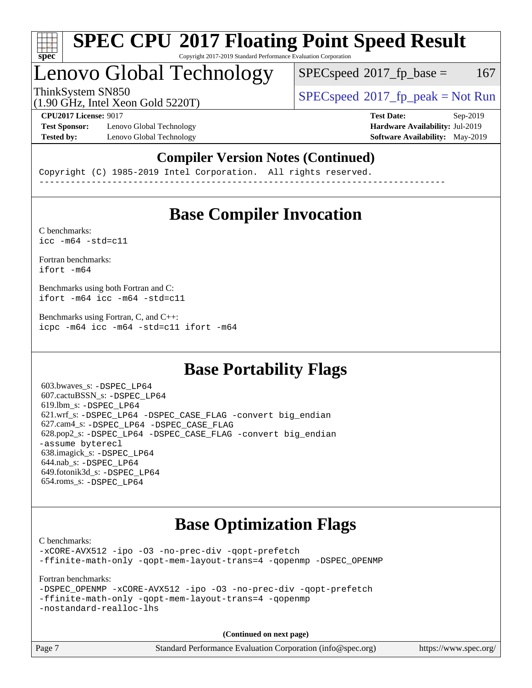

### Lenovo Global Technology

 $SPEC speed^{\circ}2017$  fp base = 167

(1.90 GHz, Intel Xeon Gold 5220T)

ThinkSystem SN850<br>  $(1.00 \text{ GHz. Intel Yes} \cdot \text{Cold } 5220 \text{T})$   $SPEC speed^{\circ}2017\_fp\_peak = Not Run$ 

**[Test Sponsor:](http://www.spec.org/auto/cpu2017/Docs/result-fields.html#TestSponsor)** Lenovo Global Technology **[Hardware Availability:](http://www.spec.org/auto/cpu2017/Docs/result-fields.html#HardwareAvailability)** Jul-2019 **[Tested by:](http://www.spec.org/auto/cpu2017/Docs/result-fields.html#Testedby)** Lenovo Global Technology **[Software Availability:](http://www.spec.org/auto/cpu2017/Docs/result-fields.html#SoftwareAvailability)** May-2019

**[CPU2017 License:](http://www.spec.org/auto/cpu2017/Docs/result-fields.html#CPU2017License)** 9017 **[Test Date:](http://www.spec.org/auto/cpu2017/Docs/result-fields.html#TestDate)** Sep-2019

### **[Compiler Version Notes \(Continued\)](http://www.spec.org/auto/cpu2017/Docs/result-fields.html#CompilerVersionNotes)**

Copyright (C) 1985-2019 Intel Corporation. All rights reserved. ------------------------------------------------------------------------------

### **[Base Compiler Invocation](http://www.spec.org/auto/cpu2017/Docs/result-fields.html#BaseCompilerInvocation)**

[C benchmarks](http://www.spec.org/auto/cpu2017/Docs/result-fields.html#Cbenchmarks):  $\text{icc}$  -m64 -std=c11

[Fortran benchmarks](http://www.spec.org/auto/cpu2017/Docs/result-fields.html#Fortranbenchmarks): [ifort -m64](http://www.spec.org/cpu2017/results/res2019q4/cpu2017-20190917-18304.flags.html#user_FCbase_intel_ifort_64bit_24f2bb282fbaeffd6157abe4f878425411749daecae9a33200eee2bee2fe76f3b89351d69a8130dd5949958ce389cf37ff59a95e7a40d588e8d3a57e0c3fd751)

[Benchmarks using both Fortran and C](http://www.spec.org/auto/cpu2017/Docs/result-fields.html#BenchmarksusingbothFortranandC): [ifort -m64](http://www.spec.org/cpu2017/results/res2019q4/cpu2017-20190917-18304.flags.html#user_CC_FCbase_intel_ifort_64bit_24f2bb282fbaeffd6157abe4f878425411749daecae9a33200eee2bee2fe76f3b89351d69a8130dd5949958ce389cf37ff59a95e7a40d588e8d3a57e0c3fd751) [icc -m64 -std=c11](http://www.spec.org/cpu2017/results/res2019q4/cpu2017-20190917-18304.flags.html#user_CC_FCbase_intel_icc_64bit_c11_33ee0cdaae7deeeab2a9725423ba97205ce30f63b9926c2519791662299b76a0318f32ddfffdc46587804de3178b4f9328c46fa7c2b0cd779d7a61945c91cd35)

[Benchmarks using Fortran, C, and C++:](http://www.spec.org/auto/cpu2017/Docs/result-fields.html#BenchmarksusingFortranCandCXX) [icpc -m64](http://www.spec.org/cpu2017/results/res2019q4/cpu2017-20190917-18304.flags.html#user_CC_CXX_FCbase_intel_icpc_64bit_4ecb2543ae3f1412ef961e0650ca070fec7b7afdcd6ed48761b84423119d1bf6bdf5cad15b44d48e7256388bc77273b966e5eb805aefd121eb22e9299b2ec9d9) [icc -m64 -std=c11](http://www.spec.org/cpu2017/results/res2019q4/cpu2017-20190917-18304.flags.html#user_CC_CXX_FCbase_intel_icc_64bit_c11_33ee0cdaae7deeeab2a9725423ba97205ce30f63b9926c2519791662299b76a0318f32ddfffdc46587804de3178b4f9328c46fa7c2b0cd779d7a61945c91cd35) [ifort -m64](http://www.spec.org/cpu2017/results/res2019q4/cpu2017-20190917-18304.flags.html#user_CC_CXX_FCbase_intel_ifort_64bit_24f2bb282fbaeffd6157abe4f878425411749daecae9a33200eee2bee2fe76f3b89351d69a8130dd5949958ce389cf37ff59a95e7a40d588e8d3a57e0c3fd751)

### **[Base Portability Flags](http://www.spec.org/auto/cpu2017/Docs/result-fields.html#BasePortabilityFlags)**

 603.bwaves\_s: [-DSPEC\\_LP64](http://www.spec.org/cpu2017/results/res2019q4/cpu2017-20190917-18304.flags.html#suite_basePORTABILITY603_bwaves_s_DSPEC_LP64) 607.cactuBSSN\_s: [-DSPEC\\_LP64](http://www.spec.org/cpu2017/results/res2019q4/cpu2017-20190917-18304.flags.html#suite_basePORTABILITY607_cactuBSSN_s_DSPEC_LP64) 619.lbm\_s: [-DSPEC\\_LP64](http://www.spec.org/cpu2017/results/res2019q4/cpu2017-20190917-18304.flags.html#suite_basePORTABILITY619_lbm_s_DSPEC_LP64) 621.wrf\_s: [-DSPEC\\_LP64](http://www.spec.org/cpu2017/results/res2019q4/cpu2017-20190917-18304.flags.html#suite_basePORTABILITY621_wrf_s_DSPEC_LP64) [-DSPEC\\_CASE\\_FLAG](http://www.spec.org/cpu2017/results/res2019q4/cpu2017-20190917-18304.flags.html#b621.wrf_s_baseCPORTABILITY_DSPEC_CASE_FLAG) [-convert big\\_endian](http://www.spec.org/cpu2017/results/res2019q4/cpu2017-20190917-18304.flags.html#user_baseFPORTABILITY621_wrf_s_convert_big_endian_c3194028bc08c63ac5d04de18c48ce6d347e4e562e8892b8bdbdc0214820426deb8554edfa529a3fb25a586e65a3d812c835984020483e7e73212c4d31a38223) 627.cam4\_s: [-DSPEC\\_LP64](http://www.spec.org/cpu2017/results/res2019q4/cpu2017-20190917-18304.flags.html#suite_basePORTABILITY627_cam4_s_DSPEC_LP64) [-DSPEC\\_CASE\\_FLAG](http://www.spec.org/cpu2017/results/res2019q4/cpu2017-20190917-18304.flags.html#b627.cam4_s_baseCPORTABILITY_DSPEC_CASE_FLAG) 628.pop2\_s: [-DSPEC\\_LP64](http://www.spec.org/cpu2017/results/res2019q4/cpu2017-20190917-18304.flags.html#suite_basePORTABILITY628_pop2_s_DSPEC_LP64) [-DSPEC\\_CASE\\_FLAG](http://www.spec.org/cpu2017/results/res2019q4/cpu2017-20190917-18304.flags.html#b628.pop2_s_baseCPORTABILITY_DSPEC_CASE_FLAG) [-convert big\\_endian](http://www.spec.org/cpu2017/results/res2019q4/cpu2017-20190917-18304.flags.html#user_baseFPORTABILITY628_pop2_s_convert_big_endian_c3194028bc08c63ac5d04de18c48ce6d347e4e562e8892b8bdbdc0214820426deb8554edfa529a3fb25a586e65a3d812c835984020483e7e73212c4d31a38223) [-assume byterecl](http://www.spec.org/cpu2017/results/res2019q4/cpu2017-20190917-18304.flags.html#user_baseFPORTABILITY628_pop2_s_assume_byterecl_7e47d18b9513cf18525430bbf0f2177aa9bf368bc7a059c09b2c06a34b53bd3447c950d3f8d6c70e3faf3a05c8557d66a5798b567902e8849adc142926523472) 638.imagick\_s: [-DSPEC\\_LP64](http://www.spec.org/cpu2017/results/res2019q4/cpu2017-20190917-18304.flags.html#suite_basePORTABILITY638_imagick_s_DSPEC_LP64) 644.nab\_s: [-DSPEC\\_LP64](http://www.spec.org/cpu2017/results/res2019q4/cpu2017-20190917-18304.flags.html#suite_basePORTABILITY644_nab_s_DSPEC_LP64) 649.fotonik3d\_s: [-DSPEC\\_LP64](http://www.spec.org/cpu2017/results/res2019q4/cpu2017-20190917-18304.flags.html#suite_basePORTABILITY649_fotonik3d_s_DSPEC_LP64) 654.roms\_s: [-DSPEC\\_LP64](http://www.spec.org/cpu2017/results/res2019q4/cpu2017-20190917-18304.flags.html#suite_basePORTABILITY654_roms_s_DSPEC_LP64)

### **[Base Optimization Flags](http://www.spec.org/auto/cpu2017/Docs/result-fields.html#BaseOptimizationFlags)**

[C benchmarks](http://www.spec.org/auto/cpu2017/Docs/result-fields.html#Cbenchmarks):

[-xCORE-AVX512](http://www.spec.org/cpu2017/results/res2019q4/cpu2017-20190917-18304.flags.html#user_CCbase_f-xCORE-AVX512) [-ipo](http://www.spec.org/cpu2017/results/res2019q4/cpu2017-20190917-18304.flags.html#user_CCbase_f-ipo) [-O3](http://www.spec.org/cpu2017/results/res2019q4/cpu2017-20190917-18304.flags.html#user_CCbase_f-O3) [-no-prec-div](http://www.spec.org/cpu2017/results/res2019q4/cpu2017-20190917-18304.flags.html#user_CCbase_f-no-prec-div) [-qopt-prefetch](http://www.spec.org/cpu2017/results/res2019q4/cpu2017-20190917-18304.flags.html#user_CCbase_f-qopt-prefetch) [-ffinite-math-only](http://www.spec.org/cpu2017/results/res2019q4/cpu2017-20190917-18304.flags.html#user_CCbase_f_finite_math_only_cb91587bd2077682c4b38af759c288ed7c732db004271a9512da14a4f8007909a5f1427ecbf1a0fb78ff2a814402c6114ac565ca162485bbcae155b5e4258871) [-qopt-mem-layout-trans=4](http://www.spec.org/cpu2017/results/res2019q4/cpu2017-20190917-18304.flags.html#user_CCbase_f-qopt-mem-layout-trans_fa39e755916c150a61361b7846f310bcdf6f04e385ef281cadf3647acec3f0ae266d1a1d22d972a7087a248fd4e6ca390a3634700869573d231a252c784941a8) [-qopenmp](http://www.spec.org/cpu2017/results/res2019q4/cpu2017-20190917-18304.flags.html#user_CCbase_qopenmp_16be0c44f24f464004c6784a7acb94aca937f053568ce72f94b139a11c7c168634a55f6653758ddd83bcf7b8463e8028bb0b48b77bcddc6b78d5d95bb1df2967) [-DSPEC\\_OPENMP](http://www.spec.org/cpu2017/results/res2019q4/cpu2017-20190917-18304.flags.html#suite_CCbase_DSPEC_OPENMP)

[Fortran benchmarks](http://www.spec.org/auto/cpu2017/Docs/result-fields.html#Fortranbenchmarks):

```
-DSPEC_OPENMP -xCORE-AVX512 -ipo -O3 -no-prec-div -qopt-prefetch
-ffinite-math-only -qopt-mem-layout-trans=4 -qopenmp
-nostandard-realloc-lhs
```
**(Continued on next page)**

| Page 7 | Standard Performance Evaluation Corporation (info@spec.org) | https://www.spec.org/ |
|--------|-------------------------------------------------------------|-----------------------|